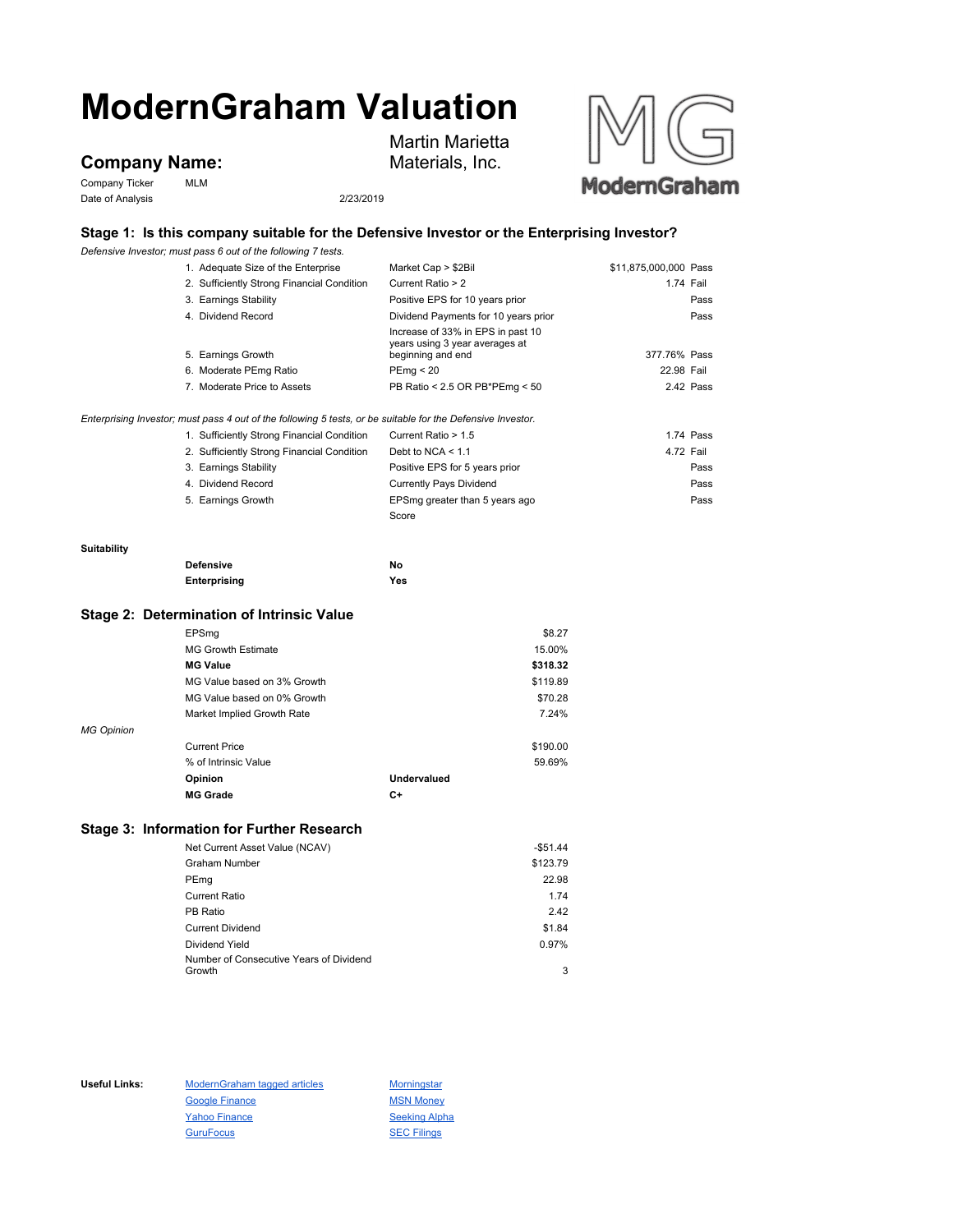# **ModernGraham Valuation**

# **Company Name:**

Company Ticker MLM Date of Analysis 2/23/2019



## **Stage 1: Is this company suitable for the Defensive Investor or the Enterprising Investor?**

Martin Marietta Materials, Inc.

*Defensive Investor; must pass 6 out of the following 7 tests.*

|                   | Delensive investor, must pass 6 out of the following 7 tests.                                               |                                                     |                       |           |
|-------------------|-------------------------------------------------------------------------------------------------------------|-----------------------------------------------------|-----------------------|-----------|
|                   | 1. Adequate Size of the Enterprise                                                                          | Market Cap > \$2Bil                                 | \$11,875,000,000 Pass |           |
|                   | 2. Sufficiently Strong Financial Condition                                                                  | Current Ratio > 2                                   | 1.74 Fail             |           |
|                   | 3. Earnings Stability                                                                                       | Positive EPS for 10 years prior                     |                       | Pass      |
|                   | 4. Dividend Record                                                                                          | Dividend Payments for 10 years prior                |                       | Pass      |
|                   |                                                                                                             | Increase of 33% in EPS in past 10                   |                       |           |
|                   | 5. Earnings Growth                                                                                          | years using 3 year averages at<br>beginning and end | 377.76% Pass          |           |
|                   | 6. Moderate PEmg Ratio                                                                                      | PEmg < 20                                           | 22.98 Fail            |           |
|                   | 7. Moderate Price to Assets                                                                                 | PB Ratio < 2.5 OR PB*PEmg < 50                      |                       | 2.42 Pass |
|                   | Enterprising Investor; must pass 4 out of the following 5 tests, or be suitable for the Defensive Investor. |                                                     |                       |           |
|                   | 1. Sufficiently Strong Financial Condition                                                                  | Current Ratio > 1.5                                 |                       | 1.74 Pass |
|                   | 2. Sufficiently Strong Financial Condition                                                                  | Debt to NCA $\leq 1.1$                              | 4.72 Fail             |           |
|                   | 3. Earnings Stability                                                                                       | Positive EPS for 5 years prior                      |                       | Pass      |
|                   | 4. Dividend Record                                                                                          | <b>Currently Pays Dividend</b>                      |                       | Pass      |
|                   | 5. Earnings Growth                                                                                          | EPSmg greater than 5 years ago                      |                       | Pass      |
|                   |                                                                                                             | Score                                               |                       |           |
| Suitability       |                                                                                                             |                                                     |                       |           |
|                   | <b>Defensive</b>                                                                                            | No                                                  |                       |           |
|                   | Enterprising                                                                                                | Yes                                                 |                       |           |
|                   | Stage 2: Determination of Intrinsic Value                                                                   |                                                     |                       |           |
| EPSmg             |                                                                                                             | \$8.27                                              |                       |           |
|                   | <b>MG Growth Estimate</b>                                                                                   | 15.00%                                              |                       |           |
| <b>MG Value</b>   |                                                                                                             | \$318.32                                            |                       |           |
|                   | MG Value based on 3% Growth                                                                                 | \$119.89                                            |                       |           |
|                   | MG Value based on 0% Growth                                                                                 | \$70.28                                             |                       |           |
|                   | Market Implied Growth Rate                                                                                  | 7.24%                                               |                       |           |
| <b>MG Opinion</b> |                                                                                                             |                                                     |                       |           |
|                   | <b>Current Price</b>                                                                                        | \$190.00                                            |                       |           |

| % of Intrinsic Value |             | 59.69% |
|----------------------|-------------|--------|
| <b>Opinion</b>       | Undervalued |        |
| <b>MG Grade</b>      | C+          |        |

### **Stage 3: Information for Further Research**

| Net Current Asset Value (NCAV)          | $-$51.44$ |
|-----------------------------------------|-----------|
| <b>Graham Number</b>                    | \$123.79  |
| PEmg                                    | 22.98     |
| <b>Current Ratio</b>                    | 1.74      |
| PB Ratio                                | 2.42      |
| <b>Current Dividend</b>                 | \$1.84    |
| Dividend Yield                          | 0.97%     |
| Number of Consecutive Years of Dividend |           |
| Growth                                  | 3         |

Useful Links: ModernGraham tagged articles Morningstar Google Finance MSN Money Yahoo Finance Seeking Alpha GuruFocus **SEC Filings**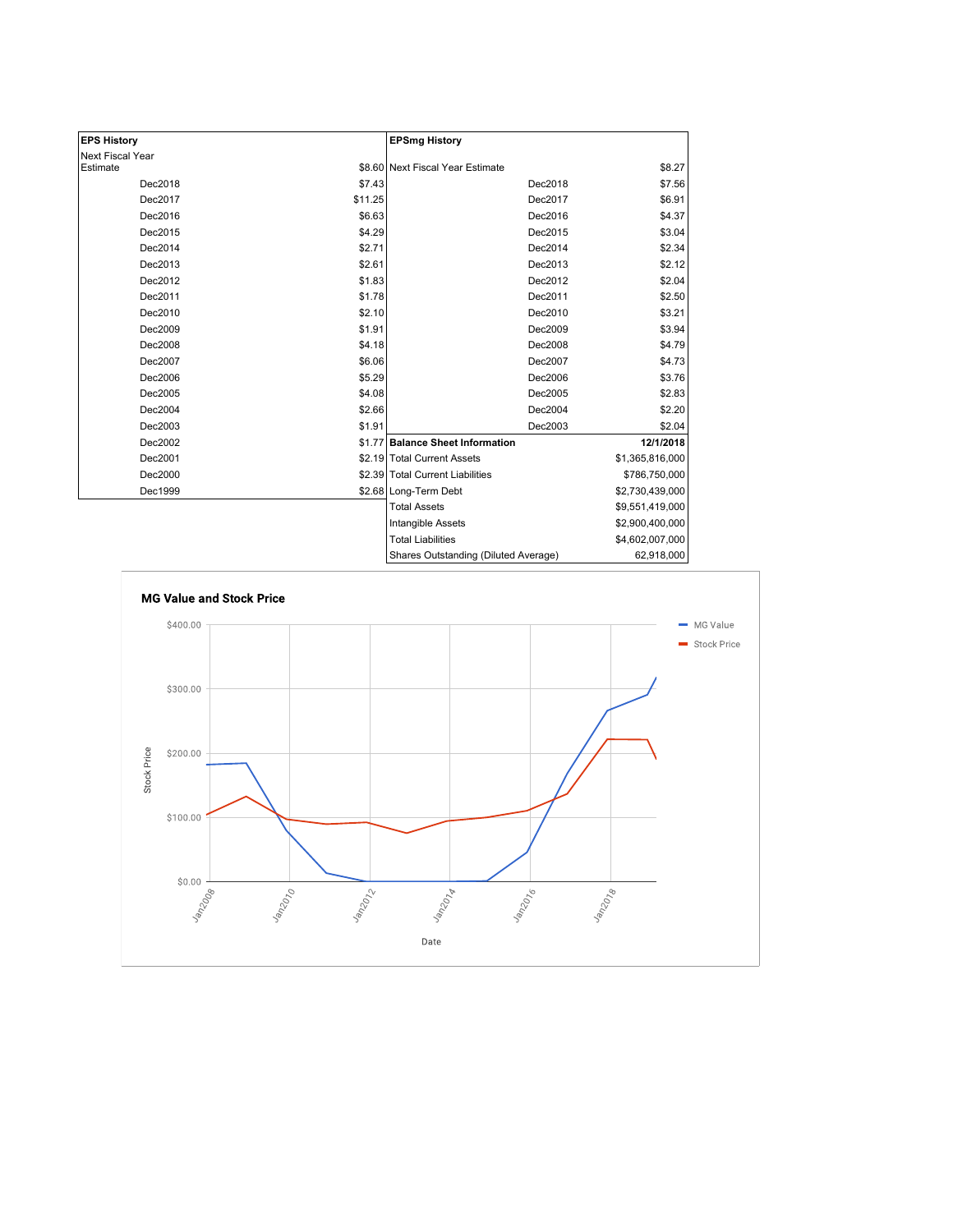| <b>EPS History</b> |         | <b>EPSmg History</b>                 |                 |
|--------------------|---------|--------------------------------------|-----------------|
| Next Fiscal Year   |         |                                      |                 |
| Estimate           |         | \$8.60 Next Fiscal Year Estimate     | \$8.27          |
| Dec2018            | \$7.43  | Dec2018                              | \$7.56          |
| Dec2017            | \$11.25 | Dec2017                              | \$6.91          |
| Dec2016            | \$6.63  | Dec2016                              | \$4.37          |
| Dec2015            | \$4.29  | Dec2015                              | \$3.04          |
| Dec2014            | \$2.71  | Dec2014                              | \$2.34          |
| Dec2013            | \$2.61  | Dec2013                              | \$2.12          |
| Dec2012            | \$1.83  | Dec2012                              | \$2.04          |
| Dec2011            | \$1.78  | Dec2011                              | \$2.50          |
| Dec2010            | \$2.10  | Dec2010                              | \$3.21          |
| Dec2009            | \$1.91  | Dec2009                              | \$3.94          |
| Dec2008            | \$4.18  | Dec2008                              | \$4.79          |
| Dec2007            | \$6.06  | Dec2007                              | \$4.73          |
| Dec2006            | \$5.29  | Dec2006                              | \$3.76          |
| Dec2005            | \$4.08  | Dec2005                              | \$2.83          |
| Dec2004            | \$2.66  | Dec2004                              | \$2.20          |
| Dec2003            | \$1.91  | Dec2003                              | \$2.04          |
| Dec2002            | \$1.77  | <b>Balance Sheet Information</b>     | 12/1/2018       |
| Dec2001            |         | \$2.19 Total Current Assets          | \$1,365,816,000 |
| Dec2000            |         | \$2.39 Total Current Liabilities     | \$786,750,000   |
| Dec1999            |         | \$2.68 Long-Term Debt                | \$2,730,439,000 |
|                    |         | <b>Total Assets</b>                  | \$9,551,419,000 |
|                    |         | Intangible Assets                    | \$2,900,400,000 |
|                    |         | <b>Total Liabilities</b>             | \$4,602,007,000 |
|                    |         | Shares Outstanding (Diluted Average) | 62,918,000      |